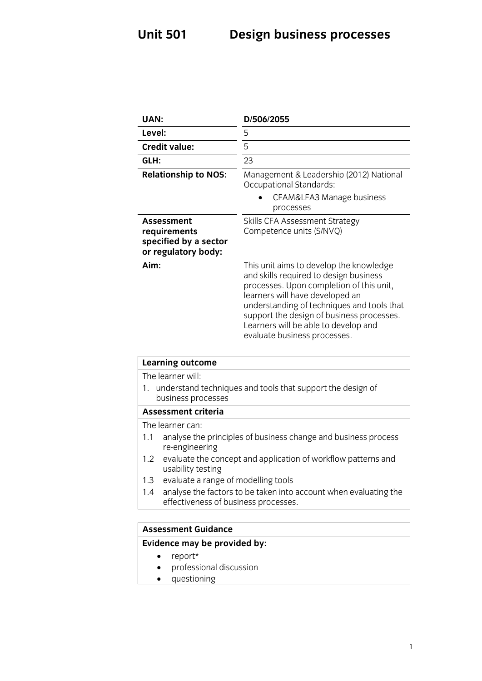| UAN:                                                                              | D/506/2055                                                                                                                                                                                                                                                                                                                          |
|-----------------------------------------------------------------------------------|-------------------------------------------------------------------------------------------------------------------------------------------------------------------------------------------------------------------------------------------------------------------------------------------------------------------------------------|
| Level:                                                                            | 5                                                                                                                                                                                                                                                                                                                                   |
| <b>Credit value:</b>                                                              | 5                                                                                                                                                                                                                                                                                                                                   |
| GLH:                                                                              | 23                                                                                                                                                                                                                                                                                                                                  |
| <b>Relationship to NOS:</b>                                                       | Management & Leadership (2012) National<br><b>Occupational Standards:</b>                                                                                                                                                                                                                                                           |
|                                                                                   | CFAM&LFA3 Manage business<br>processes                                                                                                                                                                                                                                                                                              |
| <b>Assessment</b><br>requirements<br>specified by a sector<br>or regulatory body: | Skills CFA Assessment Strategy<br>Competence units (S/NVQ)                                                                                                                                                                                                                                                                          |
| Aim:                                                                              | This unit aims to develop the knowledge<br>and skills required to design business<br>processes. Upon completion of this unit,<br>learners will have developed an<br>understanding of techniques and tools that<br>support the design of business processes.<br>Learners will be able to develop and<br>evaluate business processes. |
| <b>Learning outcome</b>                                                           |                                                                                                                                                                                                                                                                                                                                     |
| The learner will:<br>1.<br>business processes                                     | understand techniques and tools that support the design of                                                                                                                                                                                                                                                                          |

#### Assessment criteria

The learner can:

- 1.1 analyse the principles of business change and business process re-engineering
- 1.2 evaluate the concept and application of workflow patterns and usability testing
- 1.3 evaluate a range of modelling tools
- 1.4 analyse the factors to be taken into account when evaluating the effectiveness of business processes effectiveness of business processes.

#### **Assessment Guidance**

#### **Assessment Guidance Evidence may be provided by:**

- report\*<br>• professi
- professional discussion
- questioning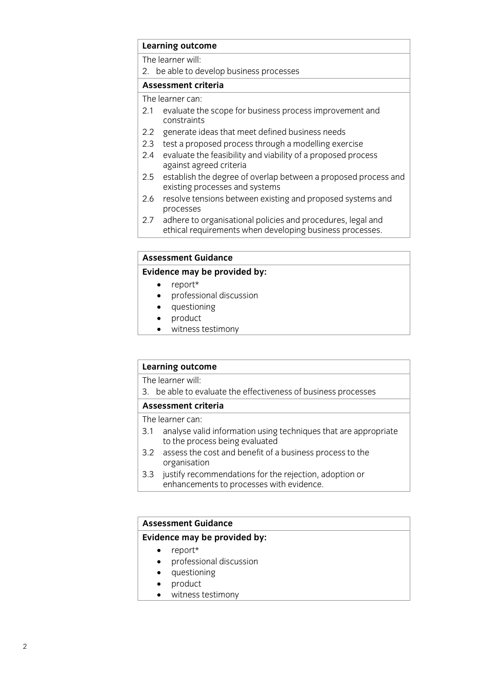## **Learning outcome**

2. be able to develop business processes

#### Assessment criteria

The learner can:

- 2.1 evaluate the scope for business process improvement and constraints
- 2.2 generate ideas that meet defined business needs
- 2.3 test a proposed process through a modelling exercise
- 2.4 evaluate the feasibility and viability of a proposed process against agreed criteria
- 2.5 establish the degree of overlap between a proposed process and existing processes and systems
- 2.6 resolve tensions between existing and proposed systems and processes
- $2.7$ adhere to organisational policies and procedures, legal and ethical requirements when developing business processes. ethical requirements when developing business processes.

#### **Assessment Guidance**

#### **Evidence may be provided by:**

- 
- **Evidence** may be proport that the manufacture of the proport of the proport of the proport of the proport of the proport of the proport of the proport of the proport of the proport of the proport of the proport of the pro • professional discussion<br>• questioning
	- questioning<br>• product
	- product<br>• witness
	- witness testimony

# **Learning outcome**<br>The learner will:

3. be able to evaluate the effectiveness of business processes

#### Assessment criteria

The learner can:

- 3.1 analyse valid information using techniques that are appropriate to the process being evaluated
- 3.2 assess the cost and benefit of a business process to the organisation
- 3.3 justify recommendations for the rejection, adoption or enhancements to processes with evidence. enhancements to processes with evidence. The processes with evidence of the processes with evidence.

### **Assessment Guidance Evidence may be provided by:**

- report\*
- professional discussion<br>• questioning
- questioning<br>• product
- product
- witness testimony